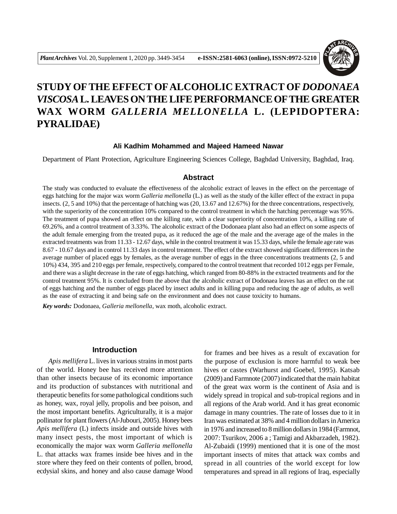

# **STUDY OFTHE EFFECT OFALCOHOLIC EXTRACT OF** *DODONAEA VISCOSA* **L. LEAVES ON THE LIFE PERFORMANCE OFTHE GREATER WAX WORM** *GALLERIA MELLONELLA* **L. (LEPIDOPTERA: PYRALIDAE)**

### **Ali Kadhim Mohammed and Majeed Hameed Nawar**

Department of Plant Protection, Agriculture Engineering Sciences College, Baghdad University, Baghdad, Iraq.

### **Abstract**

The study was conducted to evaluate the effectiveness of the alcoholic extract of leaves in the effect on the percentage of eggs hatching for the major wax worm *Galleria mellonella* (L.) as well as the study of the killer effect of the extract in pupa insects. (2, 5 and 10%) that the percentage of hatching was (20, 13.67 and 12.67%) for the three concentrations, respectively, with the superiority of the concentration 10% compared to the control treatment in which the hatching percentage was 95%. The treatment of pupa showed an effect on the killing rate, with a clear superiority of concentration 10%, a killing rate of 69.26%, and a control treatment of 3.33%. The alcoholic extract of the Dodonaea plant also had an effect on some aspects of the adult female emerging from the treated pupa, as it reduced the age of the male and the average age of the males in the extracted treatments was from 11.33 - 12.67 days, while in the control treatment it was 15.33 days, while the female age rate was 8.67 - 10.67 days and in control 11.33 days in control treatment. The effect of the extract showed significant differences in the average number of placed eggs by females, as the average number of eggs in the three concentrations treatments (2, 5 and 10%) 434, 395 and 210 eggs per female, respectively, compared to the control treatment that recorded 1012 eggs per Female, and there was a slight decrease in the rate of eggs hatching, which ranged from 80-88% in the extracted treatments and for the control treatment 95%. It is concluded from the above that the alcoholic extract of Dodonaea leaves has an effect on the rat of eggs hatching and the number of eggs placed by insect adults and in killing pupa and reducing the age of adults, as well as the ease of extracting it and being safe on the environment and does not cause toxicity to humans.

*Key words:* Dodonaea, *Galleria mellonella*, wax moth, alcoholic extract.

## **Introduction**

*Apis mellifera* L. lives in various strains in most parts of the world. Honey bee has received more attention than other insects because of its economic importance and its production of substances with nutritional and therapeutic benefits for some pathological conditions such as honey, wax, royal jelly, propolis and bee poison, and the most important benefits. Agriculturally, it is a major pollinator for plant flowers (Al-Jubouri, 2005). Honey bees *Apis mellifera* (L) infects inside and outside hives with many insect pests, the most important of which is economically the major wax worm *Galleria mellonella* L. that attacks wax frames inside bee hives and in the store where they feed on their contents of pollen, brood, ecdysial skins, and honey and also cause damage Wood for frames and bee hives as a result of excavation for the purpose of exclusion is more harmful to weak bee hives or castes (Warhurst and Goebel, 1995). Katsab (2009) and Farmnote (2007) indicated that the main habitat of the great wax worm is the continent of Asia and is widely spread in tropical and sub-tropical regions and in all regions of the Arab world. And it has great economic damage in many countries. The rate of losses due to it in Iran was estimated at 38% and 4 million dollars in America in 1976 and increased to 8 million dollars in 1984 (Farmnot, 2007: Tsurikov, 2006 a ; Tamigi and Akbarzadeh, 1982). Al-Zubaidi (1999) mentioned that it is one of the most important insects of mites that attack wax combs and spread in all countries of the world except for low temperatures and spread in all regions of Iraq, especially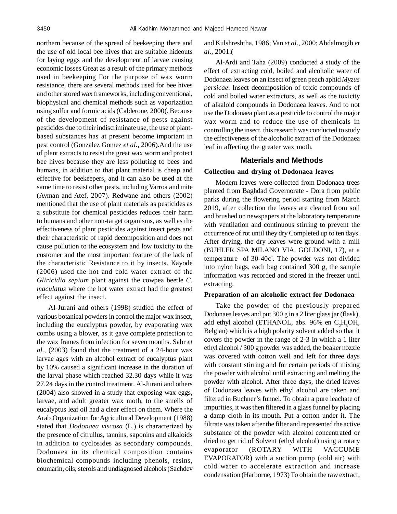northern because of the spread of beekeeping there and the use of old local bee hives that are suitable hideouts for laying eggs and the development of larvae causing economic losses Great as a result of the primary methods used in beekeeping For the purpose of wax worm resistance, there are several methods used for bee hives and other stored wax frameworks, including conventional, biophysical and chemical methods such as vaporization using sulfur and formic acids (Calderone, 2000(. Because of the development of resistance of pests against pesticides due to their indiscriminate use, the use of plantbased substances has at present become important in pest control (Gonzalez Gomez *et al.,* 2006).And the use of plant extracts to resist the great wax worm and protect bee hives because they are less polluting to bees and humans, in addition to that plant material is cheap and effective for beekeepers, and it can also be used at the same time to resist other pests, including Varroa and mite (Ayman and Atef, 2007). Redwane and others (2002) mentioned that the use of plant materials as pesticides as a substitute for chemical pesticides reduces their harm to humans and other non-target organisms, as well as the effectiveness of plant pesticides against insect pests and their characteristic of rapid decomposition and does not cause pollution to the ecosystem and low toxicity to the customer and the most important feature of the lack of the characteristic Resistance to it by insects. Kayode (2006) used the hot and cold water extract of the *Gliricidia sepium* plant against the cowpea beetle *C. maculatus* where the hot water extract had the greatest effect against the insect.

Al-Jurani and others (1998) studied the effect of various botanical powders in control the major wax insect, including the eucalyptus powder, by evaporating wax combs using a blower, as it gave complete protection to the wax frames from infection for seven months. Sabr *et al.,* (2003) found that the treatment of a 24-hour wax larvae ages with an alcohol extract of eucalyptus plant by 10% caused a significant increase in the duration of the larval phase which reached 32.30 days while it was 27.24 days in the control treatment. Al-Jurani and others (2004) also showed in a study that exposing wax eggs, larvae, and adult greater wax moth, to the smells of eucalyptus leaf oil had a clear effect on them. Where the Arab Organization for Agricultural Development (1988) stated that *Dodonaea viscosa* (L.) is characterized by the presence of citrullus, tannins, saponins and alkaloids in addition to cyclosides as secondary compounds. Dodonaea in its chemical composition contains biochemical compounds including phenols, resins, coumarin, oils, sterols and undiagnosed alcohols (Sachdev and Kulshreshtha, 1986; Van *et al.,* 2000; Abdalmogib *et al.,* 2001.(

Al-Ardi and Taha (2009) conducted a study of the effect of extracting cold, boiled and alcoholic water of Dodonaea leaves on an insect of green peach aphid *Myzus persicae*. Insect decomposition of toxic compounds of cold and boiled water extractors, as well as the toxicity of alkaloid compounds in Dodonaea leaves. And to not use the Dodonaea plant as a pesticide to control the major wax worm and to reduce the use of chemicals in controlling the insect, this research was conducted to study the effectiveness of the alcoholic extract of the Dodonaea leaf in affecting the greater wax moth.

# **Materials and Methods**

### **Collection and drying of Dodonaea leaves**

Modern leaves were collected from Dodonaea trees planted from Baghdad Governorate - Dora from public parks during the flowering period starting from March 2019, after collection the leaves are cleaned from soil and brushed on newspapers at the laboratory temperature with ventilation and continuous stirring to prevent the occurrence of rot until they dry Completed up to ten days. After drying, the dry leaves were ground with a mill (BUHLER SPA MILANO VIA. GOLDONI, 17), at a temperature of 30-40c° . The powder was not divided into nylon bags, each bag contained 300 g, the sample information was recorded and stored in the freezer until extracting.

### **Preparation of an alcoholic extract for Dodonaea**

Take the powder of the previously prepared Dodonaea leaves and put 300 g in a 2 liter glass jar (flask), add ethyl alcohol (ETHANOL, abs. 96% en C<sub>2</sub>H<sub>5</sub>OH, Belgian) which is a high polarity solvent added so that it covers the powder in the range of 2-3 In which a 1 liter ethyl alcohol / 300 g powder was added, the beaker nozzle was covered with cotton well and left for three days with constant stirring and for certain periods of mixing the powder with alcohol until extracting and melting the powder with alcohol. After three days, the dried leaves of Dodonaea leaves with ethyl alcohol are taken and filtered in Buchner's funnel. To obtain a pure leachate of impurities, it was then filtered in a glass funnel by placing a damp cloth in its mouth. Put a cotton under it. The filtrate was taken after the filter and represented the active substance of the powder with alcohol concentrated or dried to get rid of Solvent (ethyl alcohol) using a rotary evaporator (ROTARY WITH VACCUME EVAPORATOR) with a suction pump (cold air) with cold water to accelerate extraction and increase condensation (Harborne, 1973) To obtain the raw extract,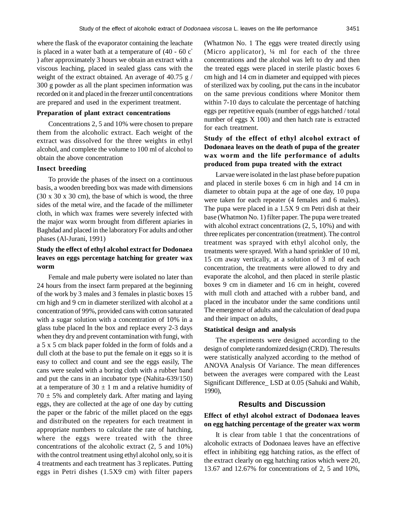where the flask of the evaporator containing the leachate is placed in a water bath at a temperature of  $(40 - 60 \text{ c}^{\degree})$ ) after approximately 3 hours we obtain an extract with a viscous leaching, placed in sealed glass cans with the weight of the extract obtained. An average of 40.75 g / 300 g powder as all the plant specimen information was recorded on it and placed in the freezer until concentrations are prepared and used in the experiment treatment.

#### **Preparation of plant extract concentrations**

Concentrations 2, 5 and 10% were chosen to prepare them from the alcoholic extract. Each weight of the extract was dissolved for the three weights in ethyl alcohol, and complete the volume to 100 ml of alcohol to obtain the above concentration

### **Insect breeding**

To provide the phases of the insect on a continuous basis, a wooden breeding box was made with dimensions  $(30 \times 30 \times 30 \text{ cm})$ , the base of which is wood, the three sides of the metal wire, and the facade of the millimeter cloth, in which wax frames were severely infected with the major wax worm brought from different apiaries in Baghdad and placed in the laboratory For adults and other phases (Al-Jurani, 1991)

# **Study the effect of ethyl alcohol extract for Dodonaea leaves on eggs percentage hatching for greater wax worm**

Female and male puberty were isolated no later than 24 hours from the insect farm prepared at the beginning of the work by 3 males and 3 females in plastic boxes 15 cm high and 9 cm in diameter sterilized with alcohol at a concentration of 99%, provided cans with cotton saturated with a sugar solution with a concentration of 10% in a glass tube placed In the box and replace every 2-3 days when they dry and prevent contamination with fungi, with a 5 x 5 cm black paper folded in the form of folds and a dull cloth at the base to put the female on it eggs so it is easy to collect and count and see the eggs easily, The cans were sealed with a boring cloth with a rubber band and put the cans in an incubator type (Nahita-639/150) at a temperature of  $30 \pm 1$  m and a relative humidity of  $70 \pm 5\%$  and completely dark. After mating and laying eggs, they are collected at the age of one day by cutting the paper or the fabric of the millet placed on the eggs and distributed on the repeaters for each treatment in appropriate numbers to calculate the rate of hatching, where the eggs were treated with the three concentrations of the alcoholic extract (2, 5 and 10%) with the control treatment using ethyl alcohol only, so it is 4 treatments and each treatment has 3 replicates. Putting eggs in Petri dishes (1.5X9 cm) with filter papers

(Whatmon No. 1 The eggs were treated directly using (Micro applicator), ¼ ml for each of the three concentrations and the alcohol was left to dry and then the treated eggs were placed in sterile plastic boxes 6 cm high and 14 cm in diameter and equipped with pieces of sterilized wax by cooling, put the cans in the incubator on the same previous conditions where Monitor them within 7-10 days to calculate the percentage of hatching eggs per repetitive equals (number of eggs hatched / total number of eggs X 100) and then hatch rate is extracted for each treatment.

# **Study of the effect of ethyl alcohol extract of Dodonaea leaves on the death of pupa of the greater wax worm and the life performance of adults produced from pupa treated with the extract**

Larvae were isolated in the last phase before pupation and placed in sterile boxes 6 cm in high and 14 cm in diameter to obtain pupa at the age of one day, 10 pupa were taken for each repeater (4 females and 6 males). The pupa were placed in a 1.5X 9 cm Petri dish at their base (Whatmon No. 1) filter paper. The pupa were treated with alcohol extract concentrations (2, 5, 10%) and with three replicates per concentration (treatment). The control treatment was sprayed with ethyl alcohol only, the treatments were sprayed. With a hand sprinkler of 10 ml, 15 cm away vertically, at a solution of 3 ml of each concentration, the treatments were allowed to dry and evaporate the alcohol, and then placed in sterile plastic boxes 9 cm in diameter and 16 cm in height, covered with mull cloth and attached with a rubber band, and placed in the incubator under the same conditions until The emergence of adults and the calculation of dead pupa and their impact on adults,

#### **Statistical design and analysis**

The experiments were designed according to the design of complete randomized design (CRD). The results were statistically analyzed according to the method of ANOVA Analysis Of Variance. The mean differences between the averages were compared with the Least Significant Difference\_ LSD at 0.05 (Sahuki and Wahib, 1990),

## **Results and Discussion**

### **Effect of ethyl alcohol extract of Dodonaea leaves on egg hatching percentage of the greater wax worm**

It is clear from table 1 that the concentrations of alcoholic extracts of Dodonaea leaves have an effective effect in inhibiting egg hatching ratios, as the effect of the extract clearly on egg hatching ratios which were 20, 13.67 and 12.67% for concentrations of 2, 5 and 10%,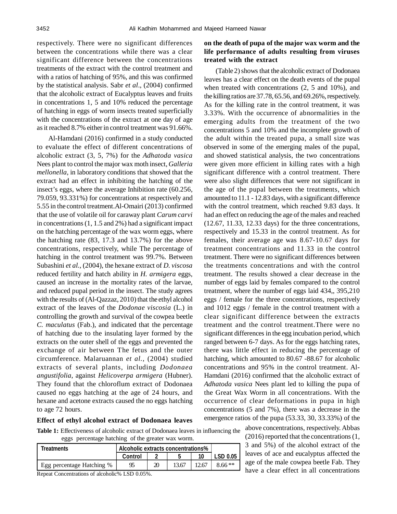respectively. There were no significant differences between the concentrations while there was a clear significant difference between the concentrations treatments of the extract with the control treatment and with a ratios of hatching of 95%, and this was confirmed by the statistical analysis. Sabr *et al*., (2004) confirmed that the alcoholic extract of Eucalyptus leaves and fruits in concentrations 1, 5 and 10% reduced the percentage of hatching in eggs of worm insects treated superficially with the concentrations of the extract at one day of age as it reached 8.7% either in control treatment was 91.66%.

Al-Hamdani (2016) confirmed in a study conducted to evaluate the effect of different concentrations of alcoholic extract (3, 5, 7%) for the *Adhatoda vasica* Nees plant to control the major wax moth insect, *Galleria mellonella*, in laboratory conditions that showed that the extract had an effect in inhibiting the hatching of the insect's eggs, where the average Inhibition rate (60.256, 79.059, 93.331%) for concentrations at respectively and 5.55 in the control treatment.Al-Omairi (2013) confirmed that the use of volatile oil for caraway plant *Carum carvi* in concentrations (1, 1.5 and 2%) had a significant impact on the hatching percentage of the wax worm eggs, where the hatching rate (83, 17.3 and 13.7%) for the above concentrations, respectively, while The percentage of hatching in the control treatment was 99.7%. Between Subashini *et al.*, (2004), the hexane extract of *D. viscosa* reduced fertility and hatch ability in *H. armigera* eggs, caused an increase in the mortality rates of the larvae, and reduced pupal period in the insect. The study agrees with the results of (Al-Qazzaz, 2010) that the ethyl alcohol extract of the leaves of the *Dodonae viscosia* (L.) in controlling the growth and survival of the cowpea beetle *C. maculatus* (Fab.), and indicated that the percentage of hatching due to the insulating layer formed by the extracts on the outer shell of the eggs and prevented the exchange of air between The fetus and the outer circumference. Malaruannan *et al.*, (2004) studied extracts of several plants, including *Dodonaea angustifolia*, against *Helicoverpa armigera* (Hubner). They found that the chloroflum extract of Dodonaea caused no eggs hatching at the age of 24 hours, and hexane and acetone extracts caused the no eggs hatching to age 72 hours.

#### **Effect of ethyl alcohol extract of Dodonaea leaves**

**Table 1:** Effectiveness of alcoholic extract of Dodonaea leaves in influencing the eggs percentage hatching of the greater wax worm.

| Treatments                | Alcoholic extracts concentrations% |    |       |       |                 |
|---------------------------|------------------------------------|----|-------|-------|-----------------|
|                           | <b>Control</b>                     |    |       | 10    | <b>LSD 0.05</b> |
| Egg percentage Hatching % | 95                                 | 20 | 13.67 | 12.67 | $8.66**$        |

Repeat Concentrations of alcoholic% LSD 0.05%.

# **on the death of pupa of the major wax worm and the life performance of adults resulting from viruses treated with the extract**

(Table 2) shows that the alcoholic extract of Dodonaea leaves has a clear effect on the death events of the pupal when treated with concentrations (2, 5 and 10%), and the killing ratios are 37.78, 65.56, and 69.26%, respectively. As for the killing rate in the control treatment, it was 3.33%. With the occurrence of abnormalities in the emerging adults from the treatment of the two concentrations 5 and 10% and the incomplete growth of the adult within the treated pupa, a small size was observed in some of the emerging males of the pupal, and showed statistical analysis, the two concentrations were given more efficient in killing rates with a high significant difference with a control treatment. There were also slight differences that were not significant in the age of the pupal between the treatments, which amounted to 11.1 - 12.83 days, with a significant difference with the control treatment, which reached 9.83 days. It had an effect on reducing the age of the males and reached (12.67, 11.33, 12.33 days) for the three concentrations, respectively and 15.33 in the control treatment. As for females, their average age was 8.67-10.67 days for treatment concentrations and 11.33 in the control treatment. There were no significant differences between the treatments concentrations and with the control treatment. The results showed a clear decrease in the number of eggs laid by females compared to the control treatment, where the number of eggs laid 434,, 395,210 eggs / female for the three concentrations, respectively and 1012 eggs / female in the control treatment with a clear significant difference between the extracts treatment and the control treatment.There were no significant differences in the egg incubation period, which ranged between 6-7 days. As for the eggs hatching rates, there was little effect in reducing the percentage of hatching, which amounted to 80.67 -88.67 for alcoholic concentrations and 95% in the control treatment. Al-Hamdani (2016) confirmed that the alcoholic extract of *Adhatoda vasica* Nees plant led to killing the pupa of the Great Wax Worm in all concentrations. With the occurrence of clear deformations in pupa in high concentrations (5 and 7%), there was a decrease in the emergence ratios of the pupa (53.33, 30, 33.33%) of the

above concentrations, respectively. Abbas

(2016) reported that the concentrations (1, 3 and 5%) of the alcohol extract of the leaves of ace and eucalyptus affected the age of the male cowpea beetle Fab. They have a clear effect in all concentrations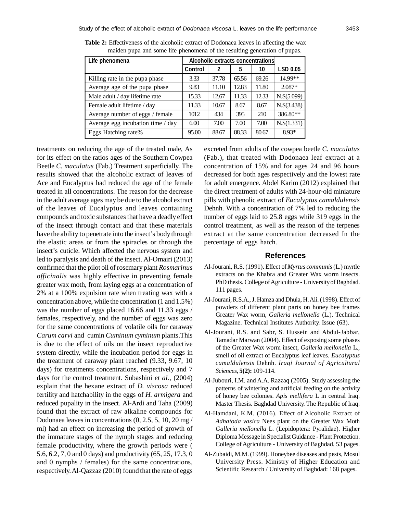| Life phenomena                    | Alcoholic extracts concentrations |       |       |       |                 |
|-----------------------------------|-----------------------------------|-------|-------|-------|-----------------|
|                                   | <b>Control</b>                    | 2     | 5     | 10    | <b>LSD 0.05</b> |
| Killing rate in the pupa phase    | 3.33                              | 37.78 | 65.56 | 69.26 | 14.99**         |
| Average age of the pupa phase     | 9.83                              | 11.10 | 12.83 | 11.80 | $2.087*$        |
| Male adult / day lifetime rate    | 15.33                             | 12.67 | 11.33 | 12.33 | N.S(5.099)      |
| Female adult lifetime / day       | 11.33                             | 10.67 | 8.67  | 8.67  | N.S(3.438)      |
| Average number of eggs / female   | 1012                              | 434   | 395   | 210   | 386.80**        |
| Average egg incubation time / day | 6.00                              | 7.00  | 7.00  | 7.00  | N.S(1.331)      |
| Eggs Hatching rate%               | 95.00                             | 88.67 | 88.33 | 80.67 | 8.93*           |

**Table 2:** Effectiveness of the alcoholic extract of Dodonaea leaves in affecting the wax maiden pupa and some life phenomena of the resulting generation of pupas.

treatments on reducing the age of the treated male, As for its effect on the ratios ages of the Southern Cowpea Beetle *C. maculatus* (Fab.) Treatment superficially. The results showed that the alcoholic extract of leaves of Ace and Eucalyptus had reduced the age of the female treated in all concentrations. The reason for the decrease in the adult average ages may be due to the alcohol extract of the leaves of Eucalyptus and leaves containing compounds and toxic substances that have a deadly effect of the insect through contact and that these materials have the ability to penetrate into the insect's body through the elastic areas or from the spiracles or through the insect's cuticle. Which affected the nervous system and led to paralysis and death of the insect. Al-Omairi (2013) confirmed that the pilot oil of rosemary plant *Rosmarinus officinalis* was highly effective in preventing female greater wax moth, from laying eggs at a concentration of 2% at a 100% expulsion rate when treating wax with a concentration above, while the concentration (1 and 1.5%) was the number of eggs placed 16.66 and 11.33 eggs / females, respectively, and the number of eggs was zero for the same concentrations of volatile oils for caraway *Carum carvi* and cumin *Cuminum cyminum* plants.This is due to the effect of oils on the insect reproductive system directly, while the incubation period for eggs in the treatment of caraway plant reached (9.33, 9.67, 10 days) for treatments concentrations, respectively and 7 days for the control treatment. Subashini *et al.*, (2004) explain that the hexane extract of *D. viscosa* reduced fertility and hatchability in the eggs of *H. armigera* and reduced pupality in the insect. Al-Ardi and Taha (2009) found that the extract of raw alkaline compounds for Dodonaea leaves in concentrations (0, 2.5, 5, 10, 20 mg / ml) had an effect on increasing the period of growth of the immature stages of the nymph stages and reducing female productivity, where the growth periods were ( 5.6, 6.2, 7, 0 and 0 days) and productivity (65, 25, 17.3, 0 and 0 nymphs / females) for the same concentrations, respectively. Al-Qazzaz (2010) found that the rate of eggs

excreted from adults of the cowpea beetle *C. maculatus* (Fab.), that treated with Dodonaea leaf extract at a concentration of 15% and for ages 24 and 96 hours decreased for both ages respectively and the lowest rate for adult emergence. Abdel Karim (2012) explained that the direct treatment of adults with 24-hour-old miniature pills with phenolic extract of *Eucalyptus camaldulensis* Dehnh. With a concentration of 7% led to reducing the number of eggs laid to 25.8 eggs while 319 eggs in the control treatment, as well as the reason of the terpenes extract at the same concentration decreased In the percentage of eggs hatch.

#### **References**

- Al-Jourani, R.S. (1991). Effect of *Myrtus communis* (L.) myrtle extracts on the Khabra and Greater Wax worm insects. PhD thesis. College of Agriculture - University of Baghdad. 111 pages.
- Al-Jourani, R.S.A., J. Hamza and Dhuia, H. Ali. (1998). Effect of powders of different plant parts on honey bee frames Greater Wax worm, *Galleria mellonella* (L.). Technical Magazine. Technical Institutes Authority. Issue (63).
- Al-Jourani, R.S. and Sabr, S. Hussein and Abdul-Jabbar, Tamadar Marwan (2004). Effect of exposing some phases of the Greater Wax worm insect, *Galleria mellonella* L., smell of oil extract of Eucalyptus leaf leaves. *Eucalyptus camaldulensis* Dehnh. *Iraqi Journal of Agricultural Sciences*, **5(2):** 109-114.
- Al-Jubouri, I.M. and A.A. Razzaq (2005). Study assessing the patterns of wintering and artificial feeding on the activity of honey bee colonies. *Apis mellifera* L in central Iraq. Master Thesis. Baghdad University. The Republic of Iraq.
- Al-Hamdani, K.M. (2016). Effect of Alcoholic Extract of *Adhatoda vasica* Nees plant on the Greater Wax Moth *Galleria mellonella* L. (Lepidoptera: Pyralidae). Higher Diploma Message in Specialist Guidance - Plant Protection. College of Agriculture - University of Baghdad. 53 pages.
- Al-Zubaidi, M.M. (1999). Honeybee diseases and pests, Mosul University Press. Ministry of Higher Education and Scientific Research / University of Baghdad: 168 pages.